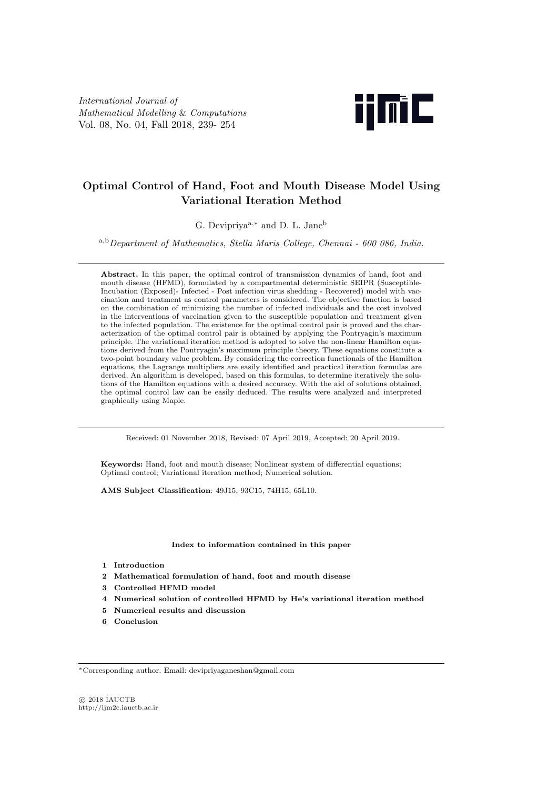*International Journal of Mathematical Modelling* & *Computations* Vol. 08, No. 04, Fall 2018, 239- 254



# **Optimal Control of Hand, Foot and Mouth Disease Model Using Variational Iteration Method**

G. Devipriyaa*,<sup>∗</sup>* and D. L. Jane<sup>b</sup>

<sup>a</sup>*,*b*Department of Mathematics, Stella Maris College, Chennai - 600 086, India*.

**Abstract.** In this paper, the optimal control of transmission dynamics of hand, foot and mouth disease (HFMD), formulated by a compartmental deterministic SEIPR (Susceptible-Incubation (Exposed)- Infected - Post infection virus shedding - Recovered) model with vaccination and treatment as control parameters is considered. The objective function is based on the combination of minimizing the number of infected individuals and the cost involved in the interventions of vaccination given to the susceptible population and treatment given to the infected population. The existence for the optimal control pair is proved and the characterization of the optimal control pair is obtained by applying the Pontryagin's maximum principle. The variational iteration method is adopted to solve the non-linear Hamilton equations derived from the Pontryagin's maximum principle theory. These equations constitute a two-point boundary value problem. By considering the correction functionals of the Hamilton equations, the Lagrange multipliers are easily identified and practical iteration formulas are derived. An algorithm is developed, based on this formulas, to determine iteratively the solutions of the Hamilton equations with a desired accuracy. With the aid of solutions obtained, the optimal control law can be easily deduced. The results were analyzed and interpreted graphically using Maple.

Received: 01 November 2018, Revised: 07 April 2019, Accepted: 20 April 2019.

**Keywords:** Hand, foot and mouth disease; Nonlinear system of differential equations; Optimal control; Variational iteration method; Numerical solution.

**AMS Subject Classification**: 49J15, 93C15, 74H15, 65L10.

**Index to information contained in this paper**

- **1 Introduction**
- **2 Mathematical formulation of hand, foot and mouth disease**
- **3 Controlled HFMD model**
- **4 Numerical solution of controlled HFMD by He's variational iteration method**
- **5 Numerical results and discussion**
- **6 Conclusion**

*⃝*c 2018 IAUCTB http://ijm2c.iauctb.ac.ir

*<sup>∗</sup>*Corresponding author. Email: devipriyaganeshan@gmail.com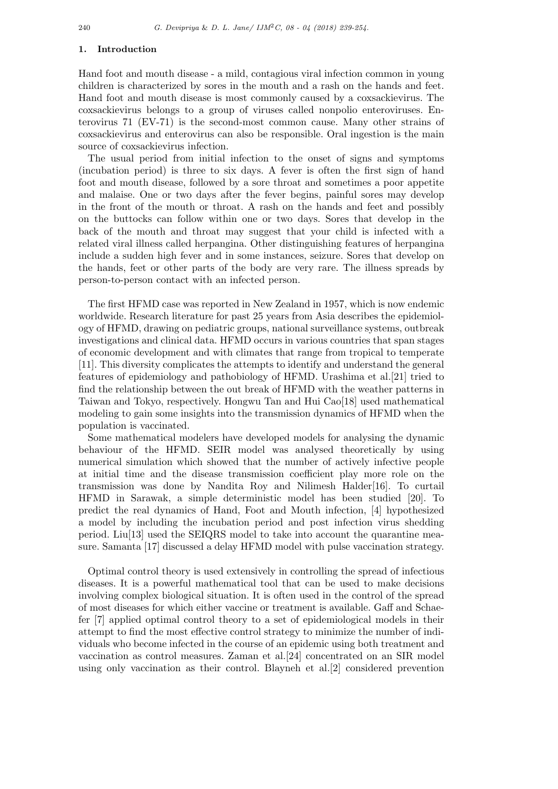#### **1. Introduction**

Hand foot and mouth disease - a mild, contagious viral infection common in young children is characterized by sores in the mouth and a rash on the hands and feet. Hand foot and mouth disease is most commonly caused by a coxsackievirus. The coxsackievirus belongs to a group of viruses called nonpolio enteroviruses. Enterovirus 71 (EV-71) is the second-most common cause. Many other strains of coxsackievirus and enterovirus can also be responsible. Oral ingestion is the main source of coxsackievirus infection.

The usual period from initial infection to the onset of signs and symptoms (incubation period) is three to six days. A fever is often the first sign of hand foot and mouth disease, followed by a sore throat and sometimes a poor appetite and malaise. One or two days after the fever begins, painful sores may develop in the front of the mouth or throat. A rash on the hands and feet and possibly on the buttocks can follow within one or two days. Sores that develop in the back of the mouth and throat may suggest that your child is infected with a related viral illness called herpangina. Other distinguishing features of herpangina include a sudden high fever and in some instances, seizure. Sores that develop on the hands, feet or other parts of the body are very rare. The illness spreads by person-to-person contact with an infected person.

The first HFMD case was reported in New Zealand in 1957, which is now endemic worldwide. Research literature for past 25 years from Asia describes the epidemiology of HFMD, drawing on pediatric groups, national surveillance systems, outbreak investigations and clinical data. HFMD occurs in various countries that span stages of economic development and with climates that range from tropical to temperate [11]. This diversity complicates the attempts to identify and understand the general features of epidemiology and pathobiology of HFMD. Urashima et al.[21] tried to find the relationship between the out break of HFMD with the weather patterns in Taiwan and Tokyo, respectively. Hongwu Tan and Hui Cao[18] used mathematical modeling to gain some insights into the transmission dynamics of HFMD when the population is vaccinated.

Some mathematical modelers have developed models for analysing the dynamic behaviour of the HFMD. SEIR model was analysed theoretically by using numerical simulation which showed that the number of actively infective people at initial time and the disease transmission coefficient play more role on the transmission was done by Nandita Roy and Nilimesh Halder[16]. To curtail HFMD in Sarawak, a simple deterministic model has been studied [20]. To predict the real dynamics of Hand, Foot and Mouth infection, [4] hypothesized a model by including the incubation period and post infection virus shedding period. Liu[13] used the SEIQRS model to take into account the quarantine measure. Samanta [17] discussed a delay HFMD model with pulse vaccination strategy.

Optimal control theory is used extensively in controlling the spread of infectious diseases. It is a powerful mathematical tool that can be used to make decisions involving complex biological situation. It is often used in the control of the spread of most diseases for which either vaccine or treatment is available. Gaff and Schaefer [7] applied optimal control theory to a set of epidemiological models in their attempt to find the most effective control strategy to minimize the number of individuals who become infected in the course of an epidemic using both treatment and vaccination as control measures. Zaman et al.[24] concentrated on an SIR model using only vaccination as their control. Blayneh et al.[2] considered prevention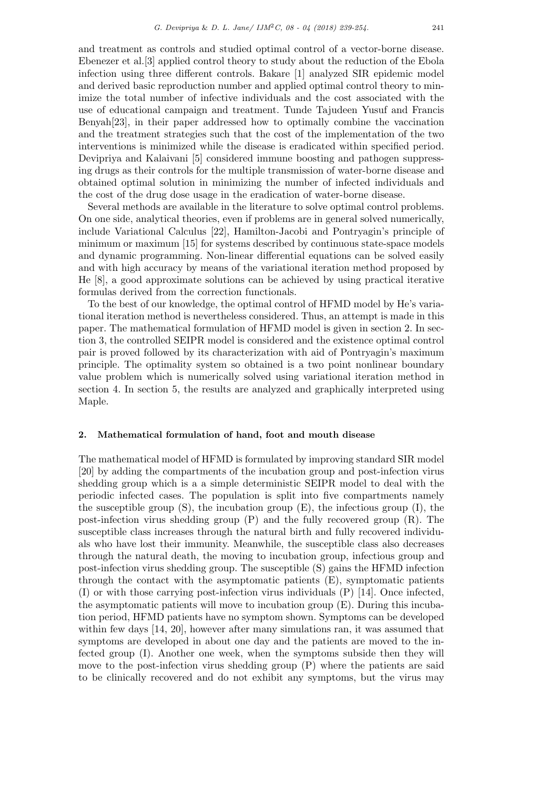and treatment as controls and studied optimal control of a vector-borne disease. Ebenezer et al.[3] applied control theory to study about the reduction of the Ebola infection using three different controls. Bakare [1] analyzed SIR epidemic model and derived basic reproduction number and applied optimal control theory to minimize the total number of infective individuals and the cost associated with the use of educational campaign and treatment. Tunde Tajudeen Yusuf and Francis Benyah[23], in their paper addressed how to optimally combine the vaccination and the treatment strategies such that the cost of the implementation of the two interventions is minimized while the disease is eradicated within specified period. Devipriya and Kalaivani [5] considered immune boosting and pathogen suppressing drugs as their controls for the multiple transmission of water-borne disease and obtained optimal solution in minimizing the number of infected individuals and the cost of the drug dose usage in the eradication of water-borne disease.

Several methods are available in the literature to solve optimal control problems. On one side, analytical theories, even if problems are in general solved numerically, include Variational Calculus [22], Hamilton-Jacobi and Pontryagin's principle of minimum or maximum [15] for systems described by continuous state-space models and dynamic programming. Non-linear differential equations can be solved easily and with high accuracy by means of the variational iteration method proposed by He [8], a good approximate solutions can be achieved by using practical iterative formulas derived from the correction functionals.

To the best of our knowledge, the optimal control of HFMD model by He's variational iteration method is nevertheless considered. Thus, an attempt is made in this paper. The mathematical formulation of HFMD model is given in section 2. In section 3, the controlled SEIPR model is considered and the existence optimal control pair is proved followed by its characterization with aid of Pontryagin's maximum principle. The optimality system so obtained is a two point nonlinear boundary value problem which is numerically solved using variational iteration method in section 4. In section 5, the results are analyzed and graphically interpreted using Maple.

## **2. Mathematical formulation of hand, foot and mouth disease**

The mathematical model of HFMD is formulated by improving standard SIR model [20] by adding the compartments of the incubation group and post-infection virus shedding group which is a a simple deterministic SEIPR model to deal with the periodic infected cases. The population is split into five compartments namely the susceptible group  $(S)$ , the incubation group  $(E)$ , the infectious group  $(I)$ , the post-infection virus shedding group  $(P)$  and the fully recovered group  $(R)$ . The susceptible class increases through the natural birth and fully recovered individuals who have lost their immunity. Meanwhile, the susceptible class also decreases through the natural death, the moving to incubation group, infectious group and post-infection virus shedding group. The susceptible (S) gains the HFMD infection through the contact with the asymptomatic patients (E), symptomatic patients (I) or with those carrying post-infection virus individuals (P) [14]. Once infected, the asymptomatic patients will move to incubation group (E). During this incubation period, HFMD patients have no symptom shown. Symptoms can be developed within few days [14, 20], however after many simulations ran, it was assumed that symptoms are developed in about one day and the patients are moved to the infected group (I). Another one week, when the symptoms subside then they will move to the post-infection virus shedding group (P) where the patients are said to be clinically recovered and do not exhibit any symptoms, but the virus may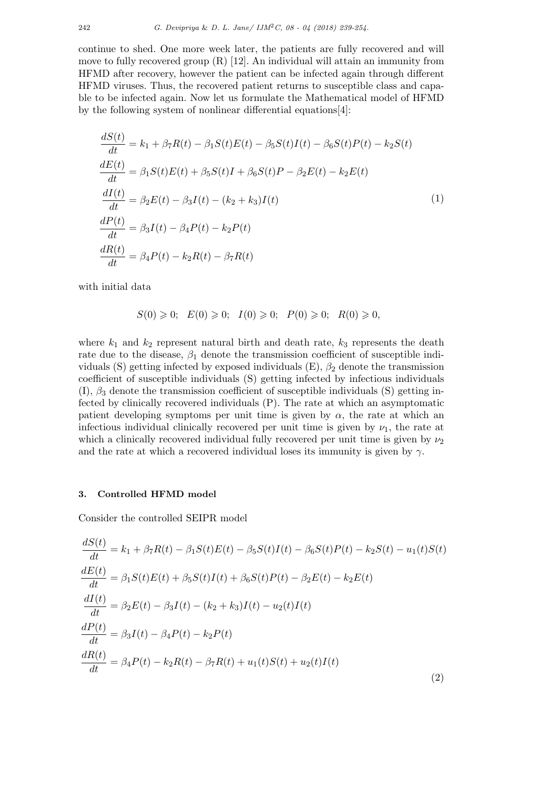continue to shed. One more week later, the patients are fully recovered and will move to fully recovered group (R) [12]. An individual will attain an immunity from HFMD after recovery, however the patient can be infected again through different HFMD viruses. Thus, the recovered patient returns to susceptible class and capable to be infected again. Now let us formulate the Mathematical model of HFMD by the following system of nonlinear differential equations[4]:

$$
\frac{dS(t)}{dt} = k_1 + \beta_7 R(t) - \beta_1 S(t)E(t) - \beta_5 S(t)I(t) - \beta_6 S(t)P(t) - k_2 S(t) \n\frac{dE(t)}{dt} = \beta_1 S(t)E(t) + \beta_5 S(t)I + \beta_6 S(t)P - \beta_2 E(t) - k_2 E(t) \n\frac{dI(t)}{dt} = \beta_2 E(t) - \beta_3 I(t) - (k_2 + k_3)I(t) \n\frac{dP(t)}{dt} = \beta_3 I(t) - \beta_4 P(t) - k_2 P(t) \n\frac{dR(t)}{dt} = \beta_4 P(t) - k_2 R(t) - \beta_7 R(t)
$$
\n(1)

with initial data

$$
S(0) \geq 0; \quad E(0) \geq 0; \quad I(0) \geq 0; \quad P(0) \geq 0; \quad R(0) \geq 0,
$$

where  $k_1$  and  $k_2$  represent natural birth and death rate,  $k_3$  represents the death rate due to the disease,  $\beta_1$  denote the transmission coefficient of susceptible individuals (S) getting infected by exposed individuals (E), *β*<sup>2</sup> denote the transmission coefficient of susceptible individuals (S) getting infected by infectious individuals  $(I)$ ,  $\beta_3$  denote the transmission coefficient of susceptible individuals (S) getting infected by clinically recovered individuals (P). The rate at which an asymptomatic patient developing symptoms per unit time is given by  $\alpha$ , the rate at which an infectious individual clinically recovered per unit time is given by  $\nu_1$ , the rate at which a clinically recovered individual fully recovered per unit time is given by  $\nu_2$ and the rate at which a recovered individual loses its immunity is given by  $\gamma$ .

#### **3. Controlled HFMD model**

Consider the controlled SEIPR model

$$
\frac{dS(t)}{dt} = k_1 + \beta_7 R(t) - \beta_1 S(t)E(t) - \beta_5 S(t)I(t) - \beta_6 S(t)P(t) - k_2 S(t) - u_1(t)S(t)
$$
  
\n
$$
\frac{dE(t)}{dt} = \beta_1 S(t)E(t) + \beta_5 S(t)I(t) + \beta_6 S(t)P(t) - \beta_2 E(t) - k_2 E(t)
$$
  
\n
$$
\frac{dI(t)}{dt} = \beta_2 E(t) - \beta_3 I(t) - (k_2 + k_3)I(t) - u_2(t)I(t)
$$
  
\n
$$
\frac{dP(t)}{dt} = \beta_3 I(t) - \beta_4 P(t) - k_2 P(t)
$$
  
\n
$$
\frac{dR(t)}{dt} = \beta_4 P(t) - k_2 R(t) - \beta_7 R(t) + u_1(t)S(t) + u_2(t)I(t)
$$
\n(2)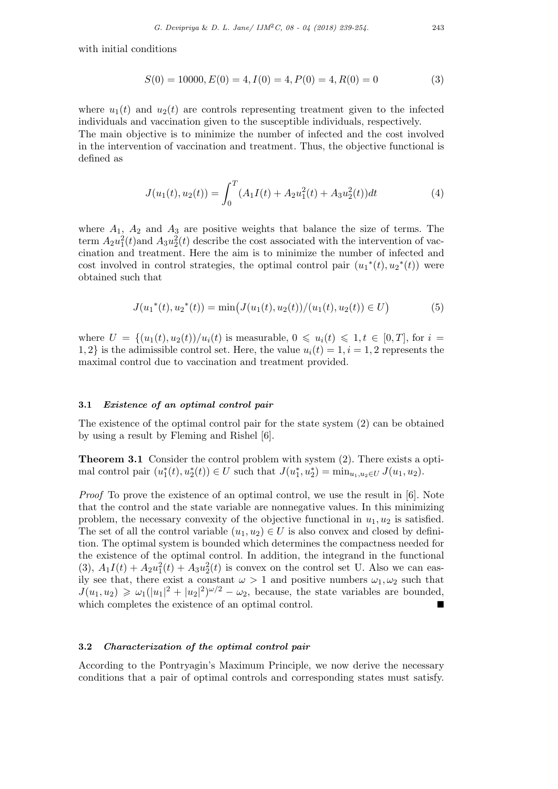with initial conditions

$$
S(0) = 10000, E(0) = 4, I(0) = 4, P(0) = 4, R(0) = 0
$$
\n
$$
(3)
$$

where  $u_1(t)$  and  $u_2(t)$  are controls representing treatment given to the infected individuals and vaccination given to the susceptible individuals, respectively. The main objective is to minimize the number of infected and the cost involved in the intervention of vaccination and treatment. Thus, the objective functional is defined as

$$
J(u_1(t), u_2(t)) = \int_0^T (A_1 I(t) + A_2 u_1^2(t) + A_3 u_2^2(t)) dt
$$
\n(4)

where  $A_1$ ,  $A_2$  and  $A_3$  are positive weights that balance the size of terms. The term  $A_2 u_1^2(t)$  and  $A_3 u_2^2(t)$  describe the cost associated with the intervention of vaccination and treatment. Here the aim is to minimize the number of infected and cost involved in control strategies, the optimal control pair  $(u_1^*(t), u_2^*(t))$  were obtained such that

$$
J(u_1^*(t), u_2^*(t)) = \min\big(J(u_1(t), u_2(t))/(u_1(t), u_2(t)) \in U\big) \tag{5}
$$

where  $U = \{(u_1(t), u_2(t))/u_i(t) \text{ is measurable}, 0 \leq u_i(t) \leq 1, t \in [0, T], \text{ for } i =$ 1, 2} is the adimissible control set. Here, the value  $u_i(t) = 1, i = 1, 2$  represents the maximal control due to vaccination and treatment provided.

## **3.1** *Existence of an optimal control pair*

The existence of the optimal control pair for the state system (2) can be obtained by using a result by Fleming and Rishel [6].

**Theorem 3.1** Consider the control problem with system (2). There exists a optimal control pair  $(u_1^*(t), u_2^*(t)) \in U$  such that  $J(u_1^*, u_2^*) = \min_{u_1, u_2 \in U} J(u_1, u_2)$ .

*Proof* To prove the existence of an optimal control, we use the result in [6]. Note that the control and the state variable are nonnegative values. In this minimizing problem, the necessary convexity of the objective functional in  $u_1, u_2$  is satisfied. The set of all the control variable  $(u_1, u_2) \in U$  is also convex and closed by definition. The optimal system is bounded which determines the compactness needed for the existence of the optimal control. In addition, the integrand in the functional (3),  $A_1I(t) + A_2u_1^2(t) + A_3u_2^2(t)$  is convex on the control set U. Also we can easily see that, there exist a constant  $\omega > 1$  and positive numbers  $\omega_1, \omega_2$  such that  $J(u_1, u_2) \geq \omega_1(|u_1|^2 + |u_2|^2)^{\omega/2} - \omega_2$ , because, the state variables are bounded, which completes the existence of an optimal control.

#### **3.2** *Characterization of the optimal control pair*

According to the Pontryagin's Maximum Principle, we now derive the necessary conditions that a pair of optimal controls and corresponding states must satisfy.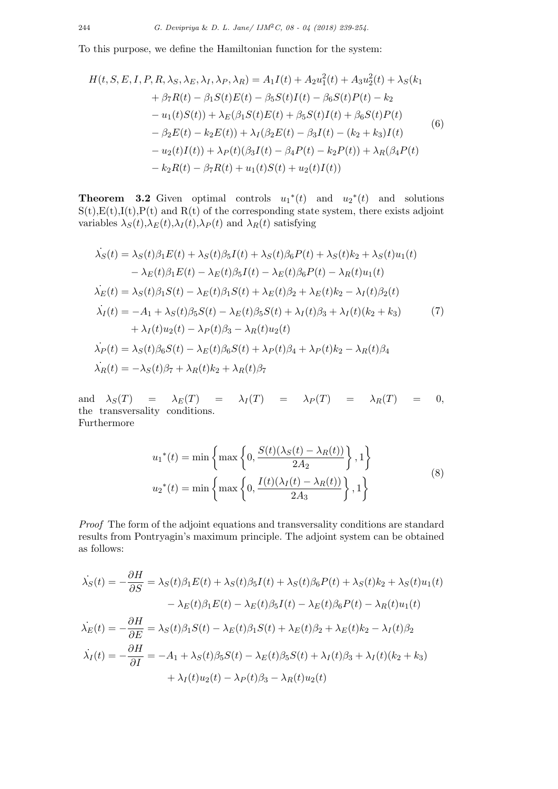To this purpose, we define the Hamiltonian function for the system:

$$
H(t, S, E, I, P, R, \lambda_{S}, \lambda_{E}, \lambda_{I}, \lambda_{P}, \lambda_{R}) = A_{1}I(t) + A_{2}u_{1}^{2}(t) + A_{3}u_{2}^{2}(t) + \lambda_{S}(k_{1} + \beta_{7}R(t) - \beta_{1}S(t)E(t) - \beta_{5}S(t)I(t) - \beta_{6}S(t)P(t) - k_{2} - u_{1}(t)S(t)) + \lambda_{E}(\beta_{1}S(t)E(t) + \beta_{5}S(t)I(t) + \beta_{6}S(t)P(t) - \beta_{2}E(t) - k_{2}E(t)) + \lambda_{I}(\beta_{2}E(t) - \beta_{3}I(t) - (k_{2} + k_{3})I(t) - u_{2}(t)I(t)) + \lambda_{P}(t)(\beta_{3}I(t) - \beta_{4}P(t) - k_{2}P(t)) + \lambda_{R}(\beta_{4}P(t) - k_{2}R(t) - \beta_{7}R(t) + u_{1}(t)S(t) + u_{2}(t)I(t))
$$
\n(6)

**Theorem 3.2** Given optimal controls  $u_1^*(t)$  and  $u_2^*(t)$  and solutions  $S(t),E(t),I(t),P(t)$  and  $R(t)$  of the corresponding state system, there exists adjoint variables  $\lambda_S(t), \lambda_E(t), \lambda_I(t), \lambda_P(t)$  and  $\lambda_R(t)$  satisfying

$$
\dot{\lambda_S}(t) = \lambda_S(t)\beta_1 E(t) + \lambda_S(t)\beta_5 I(t) + \lambda_S(t)\beta_6 P(t) + \lambda_S(t)k_2 + \lambda_S(t)u_1(t) \n- \lambda_E(t)\beta_1 E(t) - \lambda_E(t)\beta_5 I(t) - \lambda_E(t)\beta_6 P(t) - \lambda_R(t)u_1(t) \n\dot{\lambda_E}(t) = \lambda_S(t)\beta_1 S(t) - \lambda_E(t)\beta_1 S(t) + \lambda_E(t)\beta_2 + \lambda_E(t)k_2 - \lambda_I(t)\beta_2(t) \n\dot{\lambda_I}(t) = -A_1 + \lambda_S(t)\beta_5 S(t) - \lambda_E(t)\beta_5 S(t) + \lambda_I(t)\beta_3 + \lambda_I(t)(k_2 + k_3) \n+ \lambda_I(t)u_2(t) - \lambda_P(t)\beta_3 - \lambda_R(t)u_2(t) \n\dot{\lambda_P}(t) = \lambda_S(t)\beta_6 S(t) - \lambda_E(t)\beta_6 S(t) + \lambda_P(t)\beta_4 + \lambda_P(t)k_2 - \lambda_R(t)\beta_4 \n\dot{\lambda_R}(t) = -\lambda_S(t)\beta_7 + \lambda_R(t)k_2 + \lambda_R(t)\beta_7
$$

and  $\lambda_S(T) = \lambda_E(T) = \lambda_I(T) = \lambda_P(T) = \lambda_R(T) = 0,$ the transversality conditions. Furthermore

$$
u_1^*(t) = \min\left\{\max\left\{0, \frac{S(t)(\lambda_S(t) - \lambda_R(t))}{2A_2}\right\}, 1\right\}
$$
  

$$
u_2^*(t) = \min\left\{\max\left\{0, \frac{I(t)(\lambda_I(t) - \lambda_R(t))}{2A_3}\right\}, 1\right\}
$$
 (8)

*Proof* The form of the adjoint equations and transversality conditions are standard results from Pontryagin's maximum principle. The adjoint system can be obtained as follows:

$$
\dot{\lambda}_{S}(t) = -\frac{\partial H}{\partial S} = \lambda_{S}(t)\beta_{1}E(t) + \lambda_{S}(t)\beta_{5}I(t) + \lambda_{S}(t)\beta_{6}P(t) + \lambda_{S}(t)k_{2} + \lambda_{S}(t)u_{1}(t) \n- \lambda_{E}(t)\beta_{1}E(t) - \lambda_{E}(t)\beta_{5}I(t) - \lambda_{E}(t)\beta_{6}P(t) - \lambda_{R}(t)u_{1}(t) \n\dot{\lambda}_{E}(t) = -\frac{\partial H}{\partial E} = \lambda_{S}(t)\beta_{1}S(t) - \lambda_{E}(t)\beta_{1}S(t) + \lambda_{E}(t)\beta_{2} + \lambda_{E}(t)k_{2} - \lambda_{I}(t)\beta_{2} \n\dot{\lambda}_{I}(t) = -\frac{\partial H}{\partial I} = -A_{1} + \lambda_{S}(t)\beta_{5}S(t) - \lambda_{E}(t)\beta_{5}S(t) + \lambda_{I}(t)\beta_{3} + \lambda_{I}(t)(k_{2} + k_{3}) \n+ \lambda_{I}(t)u_{2}(t) - \lambda_{P}(t)\beta_{3} - \lambda_{R}(t)u_{2}(t)
$$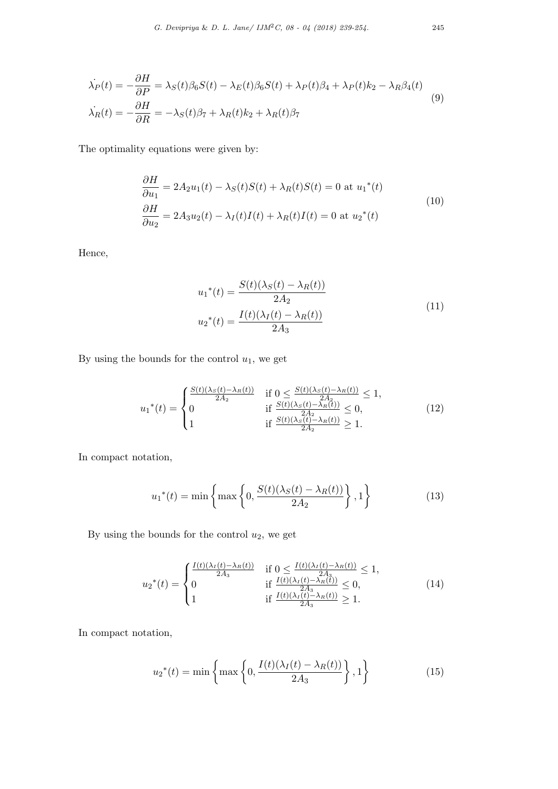$$
\dot{\lambda}_P(t) = -\frac{\partial H}{\partial P} = \lambda_S(t)\beta_6 S(t) - \lambda_E(t)\beta_6 S(t) + \lambda_P(t)\beta_4 + \lambda_P(t)k_2 - \lambda_R\beta_4(t)
$$
\n
$$
\dot{\lambda}_R(t) = -\frac{\partial H}{\partial R} = -\lambda_S(t)\beta_7 + \lambda_R(t)k_2 + \lambda_R(t)\beta_7
$$
\n(9)

The optimality equations were given by:

$$
\frac{\partial H}{\partial u_1} = 2A_2 u_1(t) - \lambda_S(t)S(t) + \lambda_R(t)S(t) = 0 \text{ at } u_1^*(t)
$$
  
\n
$$
\frac{\partial H}{\partial u_2} = 2A_3 u_2(t) - \lambda_I(t)I(t) + \lambda_R(t)I(t) = 0 \text{ at } u_2^*(t)
$$
\n(10)

Hence,

$$
u_1^*(t) = \frac{S(t)(\lambda_S(t) - \lambda_R(t))}{2A_2}
$$
  

$$
u_2^*(t) = \frac{I(t)(\lambda_I(t) - \lambda_R(t))}{2A_3}
$$
 (11)

By using the bounds for the control *u*1, we get

$$
u_1^*(t) = \begin{cases} \frac{S(t)(\lambda_S(t) - \lambda_R(t))}{2A_2} & \text{if } 0 \le \frac{S(t)(\lambda_S(t) - \lambda_R(t))}{2A_2} \le 1, \\ 0 & \text{if } \frac{S(t)(\lambda_S(t) - \lambda_R(t))}{2A_2} \le 0, \\ 1 & \text{if } \frac{S(t)(\lambda_S(t) - \lambda_R(t))}{2A_2} \ge 1. \end{cases} \tag{12}
$$

In compact notation,

$$
u_1^*(t) = \min\left\{\max\left\{0, \frac{S(t)(\lambda_S(t) - \lambda_R(t))}{2A_2}\right\}, 1\right\} \tag{13}
$$

By using the bounds for the control *u*2, we get

$$
u_2^*(t) = \begin{cases} \frac{I(t)(\lambda_I(t) - \lambda_R(t))}{2A_3} & \text{if } 0 \le \frac{I(t)(\lambda_I(t) - \lambda_R(t))}{2A_3} \le 1, \\ 0 & \text{if } \frac{I(t)(\lambda_I(t) - \lambda_R(t))}{2A_3} \le 0, \\ 1 & \text{if } \frac{I(t)(\lambda_I(t) - \lambda_R(t))}{2A_3} \ge 1. \end{cases}
$$
(14)

In compact notation,

$$
u_2^*(t) = \min\left\{\max\left\{0, \frac{I(t)(\lambda_I(t) - \lambda_R(t))}{2A_3}\right\}, 1\right\}
$$
(15)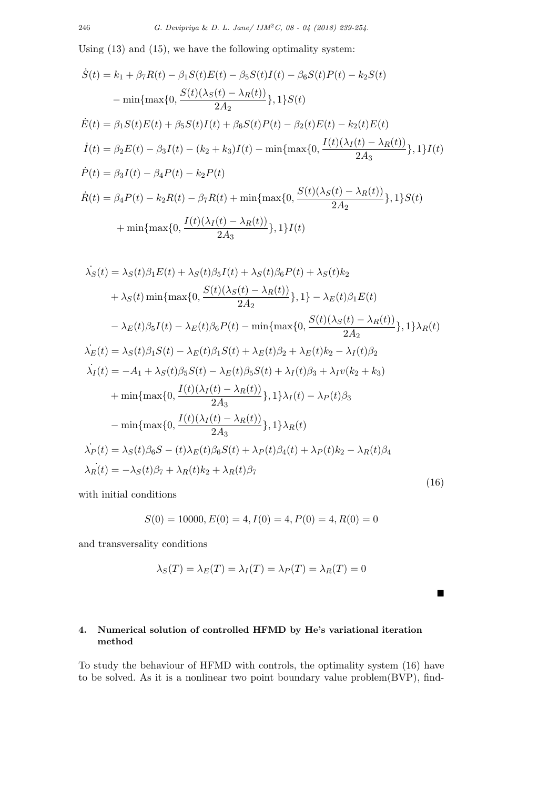Using (13) and (15), we have the following optimality system:

$$
\dot{S}(t) = k_1 + \beta_7 R(t) - \beta_1 S(t)E(t) - \beta_5 S(t)I(t) - \beta_6 S(t)P(t) - k_2 S(t)
$$
  
\n
$$
- \min \{\max\{0, \frac{S(t)(\lambda_S(t) - \lambda_R(t))}{2A_2}\}, 1\} S(t)
$$
  
\n
$$
\dot{E}(t) = \beta_1 S(t)E(t) + \beta_5 S(t)I(t) + \beta_6 S(t)P(t) - \beta_2(t)E(t) - k_2(t)E(t)
$$
  
\n
$$
\dot{I}(t) = \beta_2 E(t) - \beta_3 I(t) - (k_2 + k_3)I(t) - \min \{\max\{0, \frac{I(t)(\lambda_I(t) - \lambda_R(t))}{2A_3}\}, 1\}I(t)
$$
  
\n
$$
\dot{P}(t) = \beta_3 I(t) - \beta_4 P(t) - k_2 P(t)
$$
  
\n
$$
\dot{R}(t) = \beta_4 P(t) - k_2 R(t) - \beta_7 R(t) + \min \{\max\{0, \frac{S(t)(\lambda_S(t) - \lambda_R(t))}{2A_2}\}, 1\} S(t)
$$
  
\n
$$
+ \min \{\max\{0, \frac{I(t)(\lambda_I(t) - \lambda_R(t))}{2A_3}\}, 1\} I(t)
$$

$$
\dot{\lambda}_{S}(t) = \lambda_{S}(t)\beta_{1}E(t) + \lambda_{S}(t)\beta_{5}I(t) + \lambda_{S}(t)\beta_{6}P(t) + \lambda_{S}(t)k_{2} \n+ \lambda_{S}(t)\min\{\max\{0, \frac{S(t)(\lambda_{S}(t) - \lambda_{R}(t))}{2A_{2}}\}, 1\} - \lambda_{E}(t)\beta_{1}E(t) \n- \lambda_{E}(t)\beta_{5}I(t) - \lambda_{E}(t)\beta_{6}P(t) - \min\{\max\{0, \frac{S(t)(\lambda_{S}(t) - \lambda_{R}(t))}{2A_{2}}\}, 1\}\lambda_{R}(t) \n\dot{\lambda}_{E}(t) = \lambda_{S}(t)\beta_{1}S(t) - \lambda_{E}(t)\beta_{1}S(t) + \lambda_{E}(t)\beta_{2} + \lambda_{E}(t)k_{2} - \lambda_{I}(t)\beta_{2} \n\dot{\lambda}_{I}(t) = -A_{1} + \lambda_{S}(t)\beta_{5}S(t) - \lambda_{E}(t)\beta_{5}S(t) + \lambda_{I}(t)\beta_{3} + \lambda_{I}v(k_{2} + k_{3}) \n+ \min\{\max\{0, \frac{I(t)(\lambda_{I}(t) - \lambda_{R}(t))}{2A_{3}}\}, 1\}\lambda_{I}(t) - \lambda_{P}(t)\beta_{3} \n- \min\{\max\{0, \frac{I(t)(\lambda_{I}(t) - \lambda_{R}(t))}{2A_{3}}\}, 1\}\lambda_{R}(t) \n\dot{\lambda}_{P}(t) = \lambda_{S}(t)\beta_{6}S - (t)\lambda_{E}(t)\beta_{6}S(t) + \lambda_{P}(t)\beta_{4}(t) + \lambda_{P}(t)k_{2} - \lambda_{R}(t)\beta_{4} \n\dot{\lambda}_{R}(t) = -\lambda_{S}(t)\beta_{7} + \lambda_{R}(t)k_{2} + \lambda_{R}(t)\beta_{7}
$$
\n(16)

with initial conditions

$$
S(0) = 10000, E(0) = 4, I(0) = 4, P(0) = 4, R(0) = 0
$$

and transversality conditions

$$
\lambda_S(T) = \lambda_E(T) = \lambda_I(T) = \lambda_P(T) = \lambda_R(T) = 0
$$

■

# **4. Numerical solution of controlled HFMD by He's variational iteration method**

To study the behaviour of HFMD with controls, the optimality system (16) have to be solved. As it is a nonlinear two point boundary value problem(BVP), find-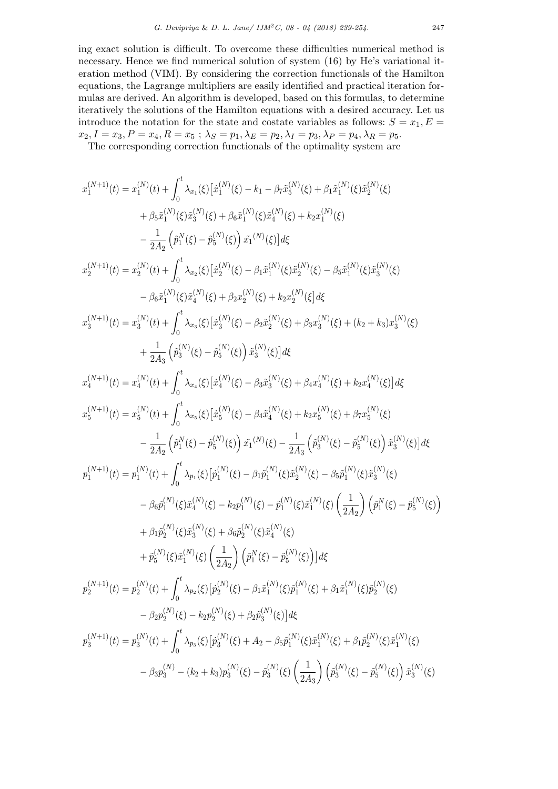ing exact solution is difficult. To overcome these difficulties numerical method is necessary. Hence we find numerical solution of system (16) by He's variational iteration method (VIM). By considering the correction functionals of the Hamilton equations, the Lagrange multipliers are easily identified and practical iteration formulas are derived. An algorithm is developed, based on this formulas, to determine iteratively the solutions of the Hamilton equations with a desired accuracy. Let us introduce the notation for the state and costate variables as follows:  $S = x_1, E =$  $x_2, I = x_3, P = x_4, R = x_5$ ;  $\lambda_S = p_1, \lambda_E = p_2, \lambda_I = p_3, \lambda_P = p_4, \lambda_R = p_5$ .

The corresponding correction functionals of the optimality system are

$$
x_1^{(N+1)}(t) = x_1^{(N)}(t) + \int_0^t \lambda_{x_1}(\xi) \left[ \dot{x}_1^{(N)}(\xi) - k_1 - \beta_T \bar{x}_5^{(N)}(\xi) + \beta_1 \bar{x}_1^{(N)}(\xi) \bar{x}_2^{(N)}(\xi) \right. \\ \left. + \beta_5 \bar{x}_1^{(N)}(\xi) \bar{x}_3^{(N)}(\xi) + \beta_6 \bar{x}_1^{(N)}(\xi) \bar{x}_4^{(N)}(\xi) + k_2 x_1^{(N)}(\xi) \right. \\ \left. - \frac{1}{2A_2} \left( \bar{p}_1^N(\xi) - \bar{p}_5^N(\xi) \right) \bar{x}_1^{(N)}(\xi) \right] d\xi
$$
  
\n
$$
x_2^{(N+1)}(t) = x_2^{(N)}(t) + \int_0^t \lambda_{x_2}(\xi) \left[ \bar{x}_2^{(N)}(\xi) - \beta_1 \bar{x}_1^{(N)}(\xi) \bar{x}_2^{(N)}(\xi) - \beta_5 \bar{x}_1^{(N)}(\xi) \bar{x}_3^{(N)}(\xi) \right. \\ \left. - \beta_6 \bar{x}_1^{(N)}(\xi) \bar{x}_4^{(N)}(\xi) + \beta_2 x_2^{(N)}(\xi) + k_2 x_2^{(N)}(\xi) \right] d\xi
$$
  
\n
$$
x_3^{(N+1)}(t) = x_3^{(N)}(t) + \int_0^t \lambda_{x_3}(\xi) \left[ \bar{x}_3^{(N)}(\xi) - \beta_2 \bar{x}_2^{(N)}(\xi) + \beta_3 x_3^{(N)}(\xi) + (k_2 + k_3) x_3^{(N)}(\xi) \right. \\ \left. + \frac{1}{2A_3} \left( \bar{p}_3^{(N)}(\xi) - \bar{p}_5^{(N)}(\xi) \right) \bar{x}_3^{(N)}(\xi) \right] d\xi
$$
  
\n
$$
x_4^{(N+1)}(t) = x_4^{(N)}(t) + \int_0^t \lambda_{x_4}(\xi) \left[ \dot{x}_4^{(N)}(\xi) - \beta_3 \bar{x}_3^{(N)}(\xi) + \beta_4 x_4^{(N)}(\xi) + k_2 x_4^{(N)}(\xi) \right] d\xi
$$
  
\n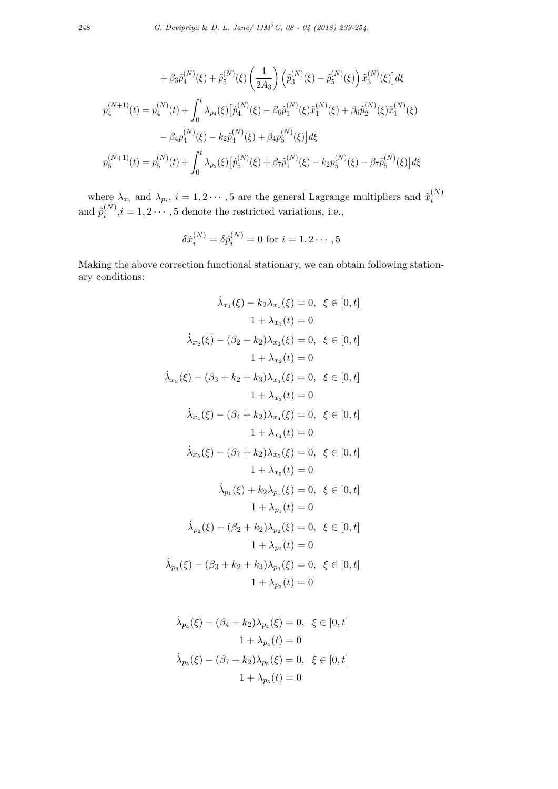$$
+ \beta_3 \tilde{p}_4^{(N)}(\xi) + \tilde{p}_5^{(N)}(\xi) \left(\frac{1}{2A_3}\right) \left(\tilde{p}_3^{(N)}(\xi) - \tilde{p}_5^{(N)}(\xi)\right) \tilde{x}_3^{(N)}(\xi) d\xi
$$
  

$$
p_4^{(N+1)}(t) = p_4^{(N)}(t) + \int_0^t \lambda_{p_4}(\xi) \left[\dot{p}_4^{(N)}(\xi) - \beta_6 \tilde{p}_1^{(N)}(\xi) \tilde{x}_1^{(N)}(\xi) + \beta_6 \tilde{p}_2^{(N)}(\xi) \tilde{x}_1^{(N)}(\xi) - \beta_4 p_4^{(N)}(\xi) - k_2 \tilde{p}_4^{(N)}(\xi) + \beta_4 p_5^{(N)}(\xi) d\xi
$$
  

$$
p_5^{(N+1)}(t) = p_5^{(N)}(t) + \int_0^t \lambda_{p_5}(\xi) \left[\dot{p}_5^{(N)}(\xi) + \beta_7 \tilde{p}_1^{(N)}(\xi) - k_2 p_5^{(N)}(\xi) - \beta_7 \tilde{p}_5^{(N)}(\xi)\right] d\xi
$$

where  $\lambda_{x_i}$  and  $\lambda_{p_i}$ ,  $i = 1, 2 \cdots, 5$  are the general Lagrange multipliers and  $\tilde{x}_i^{(N)}$ *i* and  $\tilde{p}_i^{(N)}$  $i^{(N)}$ ,  $i = 1, 2 \cdots, 5$  denote the restricted variations, i.e.,

$$
\delta \tilde{x}_i^{(N)} = \delta \tilde{p}_i^{(N)} = 0 \text{ for } i = 1, 2 \cdots, 5
$$

Making the above correction functional stationary, we can obtain following stationary conditions:

$$
\lambda_{x_1}(\xi) - k_2 \lambda_{x_1}(\xi) = 0, \ \xi \in [0, t]
$$

$$
1 + \lambda_{x_1}(t) = 0
$$

$$
\lambda_{x_2}(\xi) - (\beta_2 + k_2)\lambda_{x_2}(\xi) = 0, \ \xi \in [0, t]
$$

$$
1 + \lambda_{x_2}(t) = 0
$$

$$
\lambda_{x_3}(\xi) - (\beta_3 + k_2 + k_3)\lambda_{x_3}(\xi) = 0, \ \xi \in [0, t]
$$

$$
1 + \lambda_{x_3}(t) = 0
$$

$$
\lambda_{x_4}(\xi) - (\beta_4 + k_2)\lambda_{x_4}(\xi) = 0, \ \xi \in [0, t]
$$

$$
1 + \lambda_{x_4}(t) = 0
$$

$$
\lambda_{x_5}(\xi) - (\beta_7 + k_2)\lambda_{x_5}(\xi) = 0, \ \xi \in [0, t]
$$

$$
1 + \lambda_{x_5}(t) = 0
$$

$$
\lambda_{p_1}(\xi) + k_2\lambda_{p_1}(\xi) = 0, \ \xi \in [0, t]
$$

$$
1 + \lambda_{p_1}(t) = 0
$$

$$
\lambda_{p_2}(\xi) - (\beta_2 + k_2)\lambda_{p_2}(\xi) = 0, \ \xi \in [0, t]
$$

$$
1 + \lambda_{p_2}(t) = 0
$$

$$
\lambda_{p_3}(\xi) - (\beta_3 + k_2 + k_3)\lambda_{p_3}(\xi) = 0, \ \xi \in [0, t]
$$

$$
1 + \lambda_{p_3}(t) = 0
$$

$$
\dot{\lambda}_{p_4}(\xi) - (\beta_4 + k_2)\lambda_{p_4}(\xi) = 0, \ \xi \in [0, t]
$$

$$
1 + \lambda_{p_4}(t) = 0
$$

$$
\dot{\lambda}_{p_5}(\xi) - (\beta_7 + k_2)\lambda_{p_5}(\xi) = 0, \ \xi \in [0, t]
$$

$$
1 + \lambda_{p_5}(t) = 0
$$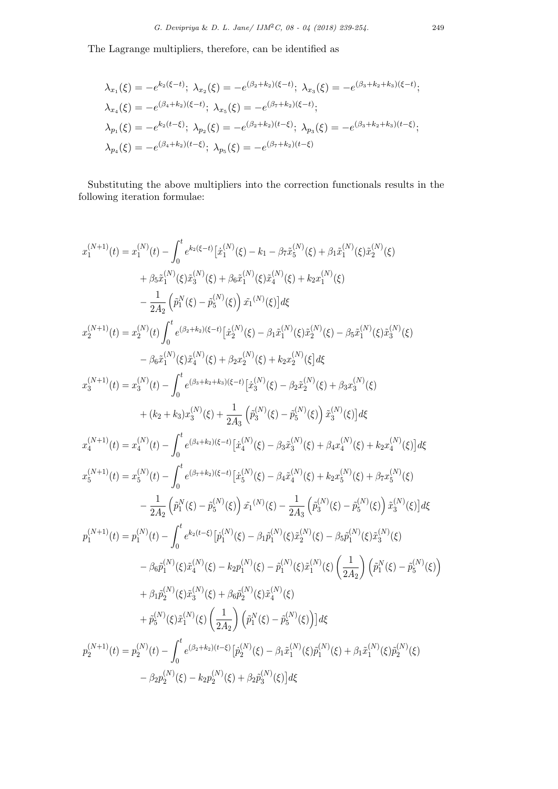The Lagrange multipliers, therefore, can be identified as

$$
\lambda_{x_1}(\xi) = -e^{k_2(\xi - t)}; \ \lambda_{x_2}(\xi) = -e^{(\beta_2 + k_2)(\xi - t)}; \ \lambda_{x_3}(\xi) = -e^{(\beta_3 + k_2 + k_3)(\xi - t)}; \n\lambda_{x_4}(\xi) = -e^{(\beta_4 + k_2)(\xi - t)}; \ \lambda_{x_5}(\xi) = -e^{(\beta_7 + k_2)(\xi - t)}; \n\lambda_{p_1}(\xi) = -e^{k_2(t - \xi)}; \ \lambda_{p_2}(\xi) = -e^{(\beta_2 + k_2)(t - \xi)}; \ \lambda_{p_3}(\xi) = -e^{(\beta_3 + k_2 + k_3)(t - \xi)}; \n\lambda_{p_4}(\xi) = -e^{(\beta_4 + k_2)(t - \xi)}; \ \lambda_{p_5}(\xi) = -e^{(\beta_7 + k_2)(t - \xi)}
$$

Substituting the above multipliers into the correction functionals results in the following iteration formulae:

$$
x_1^{(N+1)}(t) = x_1^{(N)}(t) - \int_0^t e^{k_2(\xi - t)} [x_1^{(N)}(\xi) - k_1 - \beta_7 \bar{x}_5^{(N)}(\xi) + \beta_1 \bar{x}_1^{(N)}(\xi) \bar{x}_2^{(N)}(\xi)
$$
  
\n
$$
+ \beta_5 \bar{x}_1^{(N)}(\xi) \bar{x}_3^{(N)}(\xi) + \beta_6 \bar{x}_1^{(N)}(\xi) \bar{x}_4^{(N)}(\xi) + k_2 x_1^{(N)}(\xi)
$$
  
\n
$$
- \frac{1}{2A_2} \left( \bar{p}_1^N(\xi) - \bar{p}_5^{(N)}(\xi) \right) \bar{x}_1^{(N)}(\xi) d\xi
$$
  
\n
$$
x_2^{(N+1)}(t) = x_2^{(N)}(t) \int_0^t e^{(\beta_2 + k_2)(\xi - t)} [x_2^{(N)}(\xi) - \beta_1 \bar{x}_1^{(N)}(\xi) \bar{x}_2^{(N)}(\xi) - \beta_5 \bar{x}_1^{(N)}(\xi) \bar{x}_3^{(N)}(\xi)
$$
  
\n
$$
- \beta_6 \bar{x}_1^{(N)}(\xi) \bar{x}_4^{(N)}(\xi) + \beta_2 x_2^{(N)}(\xi) + k_2 x_2^{(N)}(\xi) d\xi
$$
  
\n
$$
x_3^{(N+1)}(t) = x_3^{(N)}(t) - \int_0^t e^{(\beta_4 + k_2)\kappa - t)} [x_3^{(N)}(\xi) - \beta_2 \bar{x}_2^{(N)}(\xi) + \beta_3 x_3^{(N)}(\xi)
$$
  
\n
$$
+ (k_2 + k_3) x_3^{(N)}(\xi) + \frac{1}{2A_3} (\bar{p}_3^{(N)}(\xi) - \bar{p}_5^{(N)}(\xi)) \bar{x}_3^{(N)}(\xi) d\xi
$$
  
\n
$$
x_4^{(N+1)}(t) = x_4^{(N)}(t) - \int_0^t e^{(\beta_4 + k_2)(\xi - t)} [x_4^{(N)}(\xi) - \beta_3 \bar{x}_3^{(N)}(\xi) + \beta_4 x_4^{(N)}(\xi) + k_2 x_4^{(N)}(\xi)] d\xi
$$
  
\n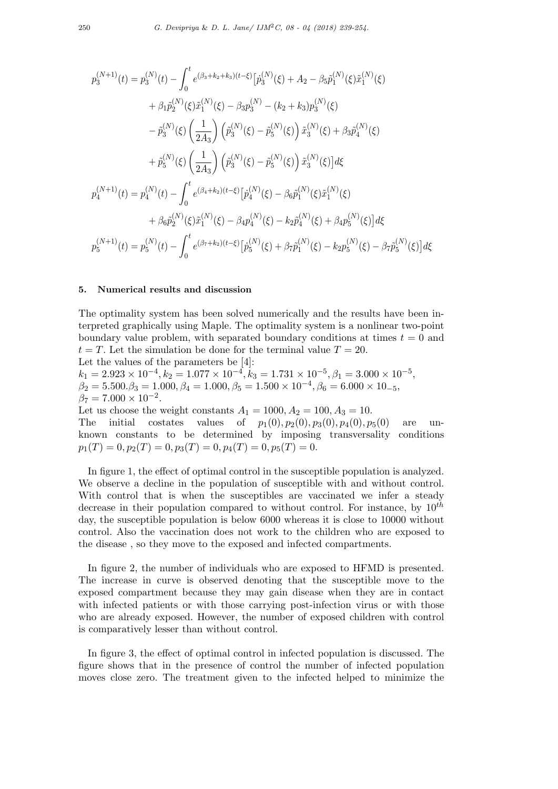$$
p_3^{(N+1)}(t) = p_3^{(N)}(t) - \int_0^t e^{(\beta_3 + k_2 + k_3)(t-\xi)} \left[ \dot{p}_3^{(N)}(\xi) + A_2 - \beta_5 \tilde{p}_1^{(N)}(\xi) \tilde{x}_1^{(N)}(\xi) \right. \\
\left. + \beta_1 \tilde{p}_2^{(N)}(\xi) \tilde{x}_1^{(N)}(\xi) - \beta_3 p_3^{(N)} - (k_2 + k_3) p_3^{(N)}(\xi) \\
\left. - \tilde{p}_3^{(N)}(\xi) \left( \frac{1}{2A_3} \right) \left( \tilde{p}_3^{(N)}(\xi) - \tilde{p}_5^{(N)}(\xi) \right) \tilde{x}_3^{(N)}(\xi) + \beta_3 \tilde{p}_4^{(N)}(\xi) \\
\left. + \tilde{p}_5^{(N)}(\xi) \left( \frac{1}{2A_3} \right) \left( \tilde{p}_3^{(N)}(\xi) - \tilde{p}_5^{(N)}(\xi) \right) \tilde{x}_3^{(N)}(\xi) \right] d\xi \\
p_4^{(N+1)}(t) = p_4^{(N)}(t) - \int_0^t e^{(\beta_4 + k_2)(t-\xi)} \left[ \dot{p}_4^{(N)}(\xi) - \beta_6 \tilde{p}_1^{(N)}(\xi) \tilde{x}_1^{(N)}(\xi) + \beta_4 p_5^{(N)}(\xi) \right] d\xi \\
p_5^{(N+1)}(t) = p_5^{(N)}(t) - \int_0^t e^{(\beta_7 + k_2)(t-\xi)} \left[ \dot{p}_5^{(N)}(\xi) + \beta_7 \tilde{p}_1^{(N)}(\xi) - k_2 p_5^{(N)}(\xi) - \beta_7 \tilde{p}_5^{(N)}(\xi) \right] d\xi
$$

#### **5. Numerical results and discussion**

The optimality system has been solved numerically and the results have been interpreted graphically using Maple. The optimality system is a nonlinear two-point boundary value problem, with separated boundary conditions at times  $t = 0$  and  $t = T$ . Let the simulation be done for the terminal value  $T = 20$ . Let the values of the parameters be [4]:  $k_1 = 2.923 \times 10^{-4}, k_2 = 1.077 \times 10^{-4}, k_3 = 1.731 \times 10^{-5}, \beta_1 = 3.000 \times 10^{-5}$  $\beta_2 = 5.500 \cdot \beta_3 = 1.000, \beta_4 = 1.000, \beta_5 = 1.500 \times 10^{-4}, \beta_6 = 6.000 \times 10^{-5}$  $\beta_7 = 7.000 \times 10^{-2}$ . Let us choose the weight constants  $A_1 = 1000, A_2 = 100, A_3 = 10$ . The initial costates values of  $p_1(0), p_2(0), p_3(0), p_4(0), p_5(0)$  are unknown constants to be determined by imposing transversality conditions  $p_1(T) = 0, p_2(T) = 0, p_3(T) = 0, p_4(T) = 0, p_5(T) = 0.$ 

In figure 1, the effect of optimal control in the susceptible population is analyzed. We observe a decline in the population of susceptible with and without control. With control that is when the susceptibles are vaccinated we infer a steady decrease in their population compared to without control. For instance, by 10*th* day, the susceptible population is below 6000 whereas it is close to 10000 without control. Also the vaccination does not work to the children who are exposed to the disease , so they move to the exposed and infected compartments.

In figure 2, the number of individuals who are exposed to HFMD is presented. The increase in curve is observed denoting that the susceptible move to the exposed compartment because they may gain disease when they are in contact with infected patients or with those carrying post-infection virus or with those who are already exposed. However, the number of exposed children with control is comparatively lesser than without control.

In figure 3, the effect of optimal control in infected population is discussed. The figure shows that in the presence of control the number of infected population moves close zero. The treatment given to the infected helped to minimize the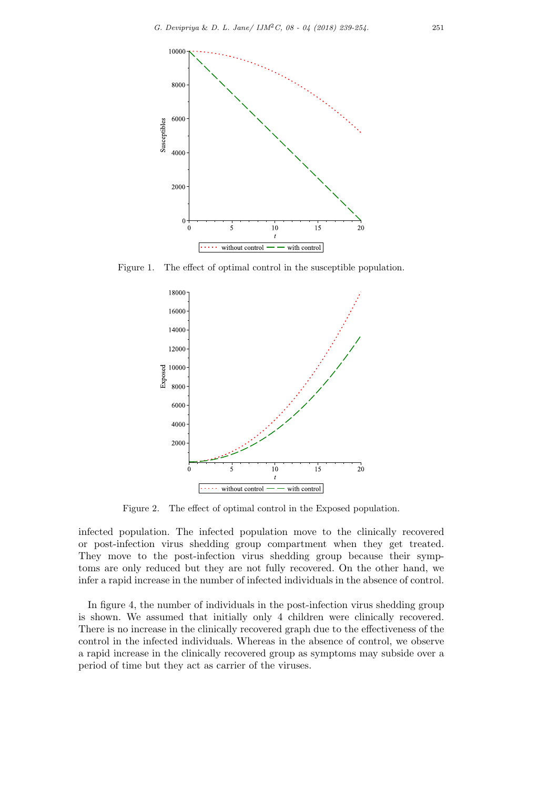

Figure 1. The effect of optimal control in the susceptible population.



Figure 2. The effect of optimal control in the Exposed population.

infected population. The infected population move to the clinically recovered or post-infection virus shedding group compartment when they get treated. They move to the post-infection virus shedding group because their symptoms are only reduced but they are not fully recovered. On the other hand, we infer a rapid increase in the number of infected individuals in the absence of control.

In figure 4, the number of individuals in the post-infection virus shedding group is shown. We assumed that initially only 4 children were clinically recovered. There is no increase in the clinically recovered graph due to the effectiveness of the control in the infected individuals. Whereas in the absence of control, we observe a rapid increase in the clinically recovered group as symptoms may subside over a period of time but they act as carrier of the viruses.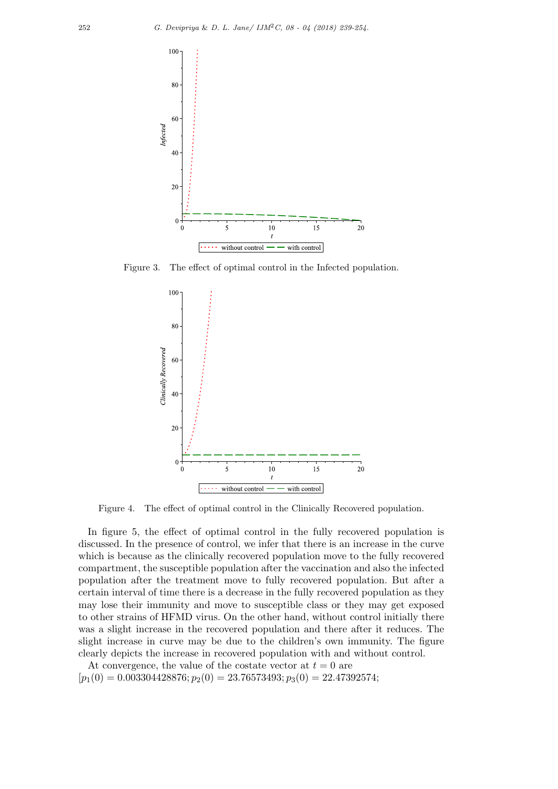

Figure 3. The effect of optimal control in the Infected population.



Figure 4. The effect of optimal control in the Clinically Recovered population.

In figure 5, the effect of optimal control in the fully recovered population is discussed. In the presence of control, we infer that there is an increase in the curve which is because as the clinically recovered population move to the fully recovered compartment, the susceptible population after the vaccination and also the infected population after the treatment move to fully recovered population. But after a certain interval of time there is a decrease in the fully recovered population as they may lose their immunity and move to susceptible class or they may get exposed to other strains of HFMD virus. On the other hand, without control initially there was a slight increase in the recovered population and there after it reduces. The slight increase in curve may be due to the children's own immunity. The figure clearly depicts the increase in recovered population with and without control.

At convergence, the value of the costate vector at  $t = 0$  are  $[p_1(0) = 0.003304428876; p_2(0) = 23.76573493; p_3(0) = 22.47392574;$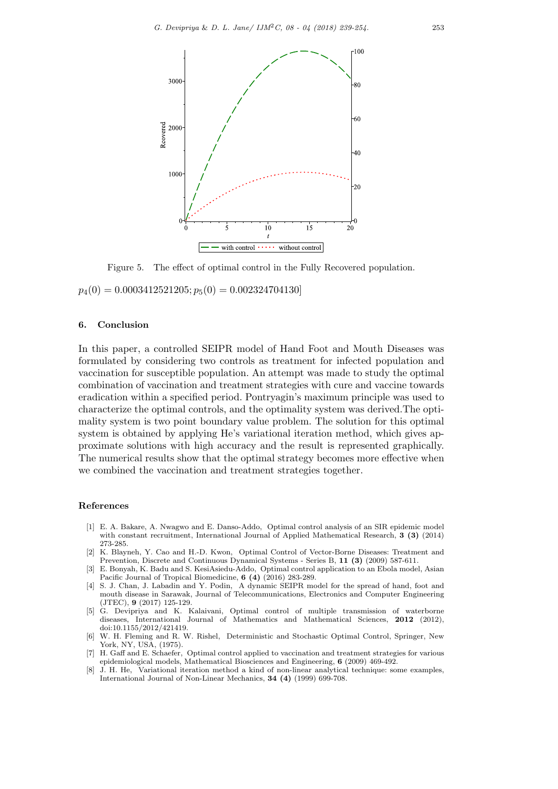

Figure 5. The effect of optimal control in the Fully Recovered population.

 $p_4(0) = 0.0003412521205; p_5(0) = 0.002324704130$ 

#### **6. Conclusion**

In this paper, a controlled SEIPR model of Hand Foot and Mouth Diseases was formulated by considering two controls as treatment for infected population and vaccination for susceptible population. An attempt was made to study the optimal combination of vaccination and treatment strategies with cure and vaccine towards eradication within a specified period. Pontryagin's maximum principle was used to characterize the optimal controls, and the optimality system was derived.The optimality system is two point boundary value problem. The solution for this optimal system is obtained by applying He's variational iteration method, which gives approximate solutions with high accuracy and the result is represented graphically. The numerical results show that the optimal strategy becomes more effective when we combined the vaccination and treatment strategies together.

#### **References**

- [1] E. A. Bakare, A. Nwagwo and E. Danso-Addo, Optimal control analysis of an SIR epidemic model with constant recruitment, International Journal of Applied Mathematical Research, **3 (3)** (2014) 273-285.
- [2] K. Blayneh, Y. Cao and H.-D. Kwon, Optimal Control of Vector-Borne Diseases: Treatment and Prevention, Discrete and Continuous Dynamical Systems - Series B, **11 (3)** (2009) 587-611.
- [3] E. Bonyah, K. Badu and S. KesiAsiedu-Addo, Optimal control application to an Ebola model, Asian Pacific Journal of Tropical Biomedicine, **6 (4)** (2016) 283-289.
- [4] S. J. Chan, J. Labadin and Y. Podin, A dynamic SEIPR model for the spread of hand, foot and mouth disease in Sarawak, Journal of Telecommunications, Electronics and Computer Engineering (JTEC), **9** (2017) 125-129.
- [5] G. Devipriya and K. Kalaivani, Optimal control of multiple transmission of waterborne diseases, International Journal of Mathematics and Mathematical Sciences, **2012** (2012), doi:10.1155/2012/421419.
- [6] W. H. Fleming and R. W. Rishel, Deterministic and Stochastic Optimal Control, Springer, New York, NY, USA, (1975).
- [7] H. Gaff and E. Schaefer, Optimal control applied to vaccination and treatment strategies for various epidemiological models, Mathematical Biosciences and Engineering, **6** (2009) 469-492.
- [8] J. H. He, Variational iteration method a kind of non-linear analytical technique: some examples, International Journal of Non-Linear Mechanics, **34 (4)** (1999) 699-708.